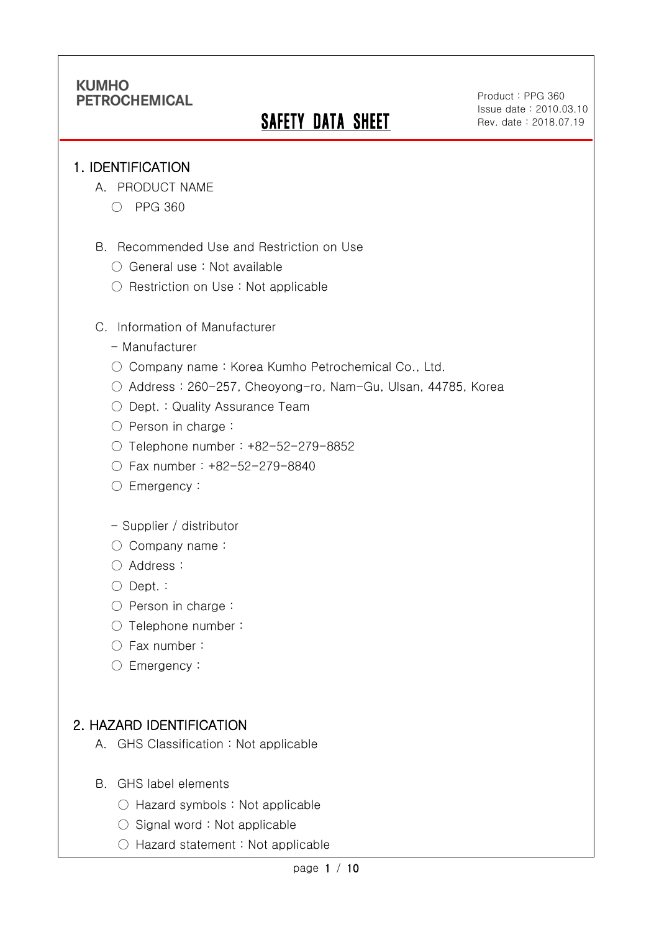# **SAFETY DATA SHEET**

Product : PPG 360 Issue date : 2010.03.10 Rev. date : 2018.07.19

.

#### 1. IDENTIFICATION

Ī

- A. PRODUCT NAME
	- PPG 360
- B. Recommended Use and Restriction on Use
	- General use : Not available
	- Restriction on Use : Not applicable
- C. Information of Manufacturer
	- Manufacturer
	- Company name: Korea Kumho Petrochemical Co., Ltd.
	- Address : 260-257, Cheoyong-ro, Nam-Gu, Ulsan, 44785, Korea
	- Dept. : Quality Assurance Team
	- Person in charge :
	- Telephone number : +82-52-279-8852
	- Fax number : +82-52-279-8840
	- Emergency:
	- Supplier / distributor
	- Company name:
	- Address :
	- Dept. :
	- Person in charge :
	- Telephone number :
	- Fax number :
	- Emergency:

### 2. HAZARD IDENTIFICATION

- A. GHS Classification : Not applicable
- B. GHS label elements
	- Hazard symbols : Not applicable
	- Signal word : Not applicable
	- Hazard statement : Not applicable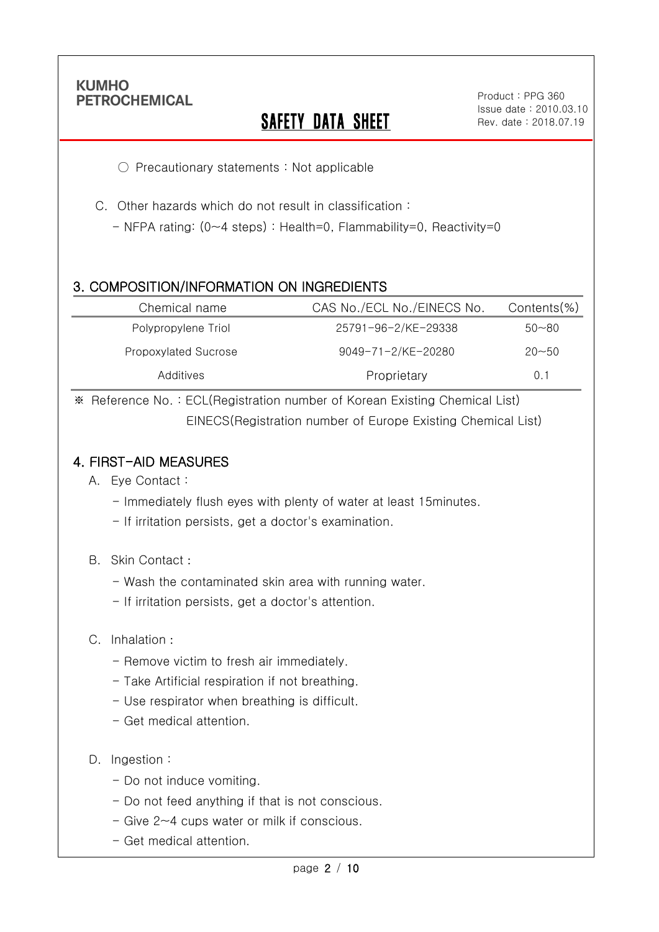Ī

# **SAFETY DATA SHEET**

.

○ Precautionary statements : Not applicable

C. Other hazards which do not result in classification :

- NFPA rating: (0~4 steps) : Health=0, Flammability=0, Reactivity=0

### 3. COMPOSITION/INFORMATION ON INGREDIENTS

| Chemical name        | CAS No./ECL No./EINECS No. | Contents(%) |
|----------------------|----------------------------|-------------|
| Polypropylene Triol  | 25791-96-2/KE-29338        | $50 - 80$   |
| Propoxylated Sucrose | 9049-71-2/KE-20280         | $20 - 50$   |
| Additives            | Proprietary                | 0.1         |

※ Reference No. : ECL(Registration number of Korean Existing Chemical List) EINECS(Registration number of Europe Existing Chemical List)

### 4. FIRST-AID MEASURES

- A. Eye Contact :
	- Immediately flush eyes with plenty of water at least 15minutes.
	- If irritation persists, get a doctor's examination.
- B. Skin Contact :
	- Wash the contaminated skin area with running water.
	- If irritation persists, get a doctor's attention.
- C. Inhalation :
	- Remove victim to fresh air immediately.
	- Take Artificial respiration if not breathing.
	- Use respirator when breathing is difficult.
	- Get medical attention.
- D. Ingestion:
	- Do not induce vomiting.
	- Do not feed anything if that is not conscious.
	- Give 2~4 cups water or milk if conscious.
	- Get medical attention.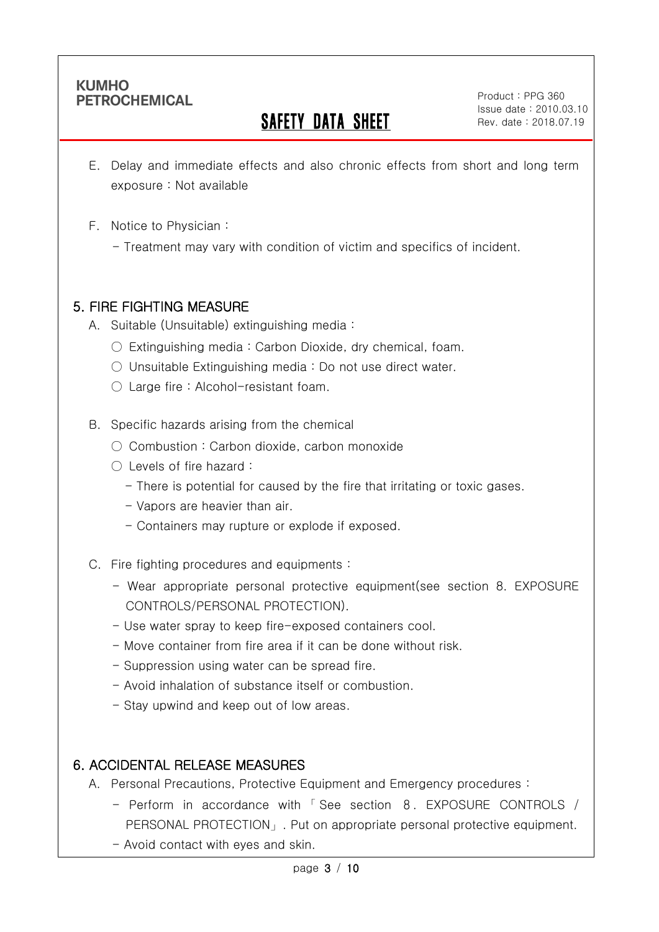Ī

# SAFETY DATA SHEET

Product : PPG 360 Issue date : 2010.03.10 Rev. date : 2018.07.19

.

- E. Delay and immediate effects and also chronic effects from short and long term exposure : Not available
- F. Notice to Physician :
	- Treatment may vary with condition of victim and specifics of incident.

#### 5. FIRE FIGHTING MEASURE

- A. Suitable (Unsuitable) extinguishing media :
	- $\circ$  Extinguishing media : Carbon Dioxide, dry chemical, foam.
	- $\circ$  Unsuitable Extinguishing media : Do not use direct water.
	- Large fire : Alcohol-resistant foam.

#### B. Specific hazards arising from the chemical

- Combustion: Carbon dioxide, carbon monoxide
- Levels of fire hazard :
	- There is potential for caused by the fire that irritating or toxic gases.
	- Vapors are heavier than air.
	- Containers may rupture or explode if exposed.
- C. Fire fighting procedures and equipments :
	- Wear appropriate personal protective equipment(see section 8. EXPOSURE CONTROLS/PERSONAL PROTECTION).
	- Use water spray to keep fire-exposed containers cool.
	- Move container from fire area if it can be done without risk.
	- Suppression using water can be spread fire.
	- Avoid inhalation of substance itself or combustion.
	- Stay upwind and keep out of low areas.

### 6. ACCIDENTAL RELEASE MEASURES

- A. Personal Precautions, Protective Equipment and Emergency procedures :
	- Perform in accordance with 「 See section 8. EXPOSURE CONTROLS / PERSONAL PROTECTION」. Put on appropriate personal protective equipment.
	- Avoid contact with eyes and skin.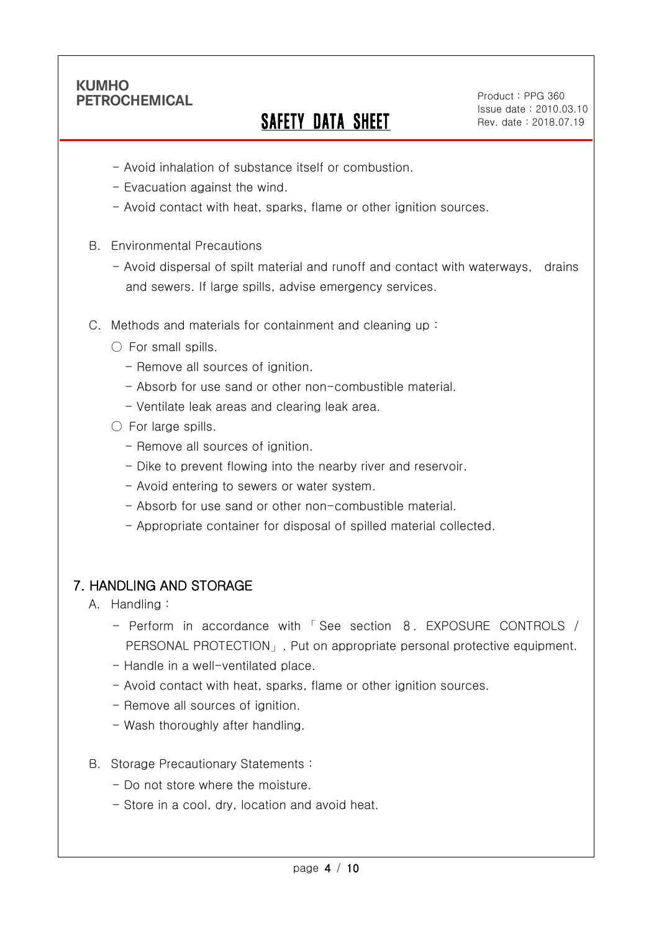Ī

# SAFETY DATA SHEET

Product : PPG 360 Issue date : 2010.03.10 Rev. date : 2018.07.19

.

- Avoid inhalation of substance itself or combustion.
- Evacuation against the wind.
- Avoid contact with heat, sparks, flame or other ignition sources.
- B. Environmental Precautions
	- Avoid dispersal of spilt material and runoff and contact with waterways, drains and sewers. If large spills, advise emergency services.
- C. Methods and materials for containment and cleaning up :
	- $\bigcirc$  For small spills.
		- Remove all sources of ignition.
		- Absorb for use sand or other non-combustible material.
		- Ventilate leak areas and clearing leak area.
	- $\circlearrowright$  For large spills.
		- Remove all sources of ignition.
		- Dike to prevent flowing into the nearby river and reservoir.
		- Avoid entering to sewers or water system.
		- Absorb for use sand or other non-combustible material.
		- Appropriate container for disposal of spilled material collected.

### 7. HANDLING AND STORAGE

- A. Handling :
	- Perform in accordance with 「 See section 8. EXPOSURE CONTROLS / PERSONAL PROTECTION」. Put on appropriate personal protective equipment.
	- Handle in a well-ventilated place.
	- Avoid contact with heat, sparks, flame or other ignition sources.
	- Remove all sources of ignition.
	- Wash thoroughly after handling.
- B. Storage Precautionary Statements :
	- Do not store where the moisture.
	- Store in a cool, dry, location and avoid heat.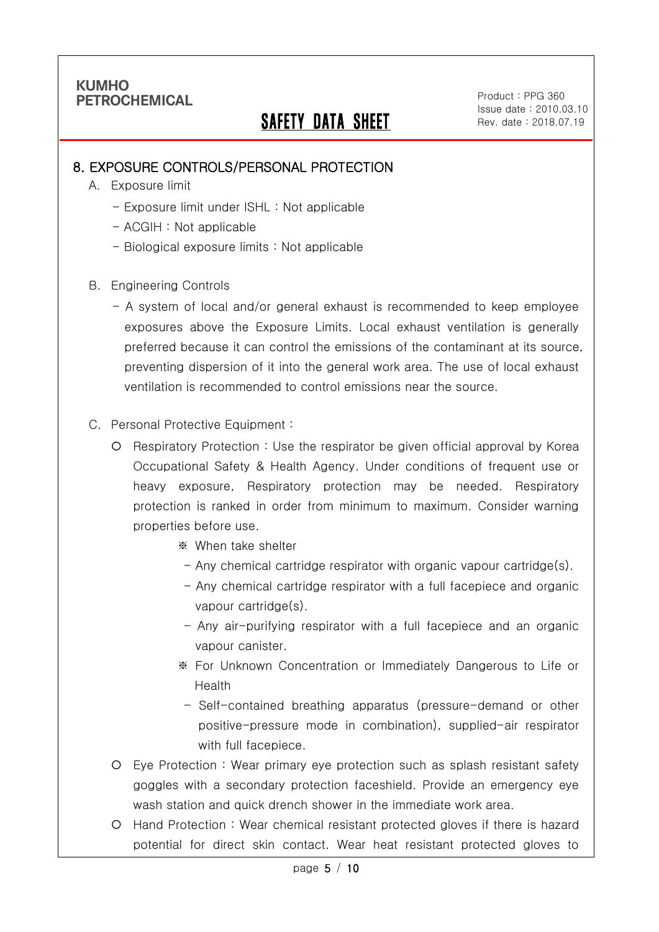Ī

# SAFETY DATA SHEET

Product : PPG 360 Issue date : 2010.03.10 Rev. date : 2018.07.19

.

#### 8. EXPOSURE CONTROLS/PERSONAL PROTECTION

- A. Exposure limit
	- Exposure limit under ISHL : Not applicable
	- ACGIH : Not applicable
	- Biological exposure limits : Not applicable
- B. Engineering Controls
	- A system of local and/or general exhaust is recommended to keep employee exposures above the Exposure Limits. Local exhaust ventilation is generally preferred because it can control the emissions of the contaminant at its source, preventing dispersion of it into the general work area. The use of local exhaust ventilation is recommended to control emissions near the source.
- C. Personal Protective Equipment :
	- Respiratory Protection : Use the respirator be given official approval by Korea Occupational Safety & Health Agency. Under conditions of frequent use or heavy exposure, Respiratory protection may be needed. Respiratory protection is ranked in order from minimum to maximum. Consider warning properties before use.
		- ※ When take shelter
		- Any chemical cartridge respirator with organic vapour cartridge(s).
		- Any chemical cartridge respirator with a full facepiece and organic vapour cartridge(s).
		- Any air-purifying respirator with a full facepiece and an organic vapour canister.
		- ※ For Unknown Concentration or Immediately Dangerous to Life or Health
		- Self-contained breathing apparatus (pressure-demand or other positive-pressure mode in combination), supplied-air respirator with full facepiece.
	- Eye Protection : Wear primary eye protection such as splash resistant safety goggles with a secondary protection faceshield. Provide an emergency eye wash station and quick drench shower in the immediate work area.
	- Hand Protection : Wear chemical resistant protected gloves if there is hazard potential for direct skin contact. Wear heat resistant protected gloves to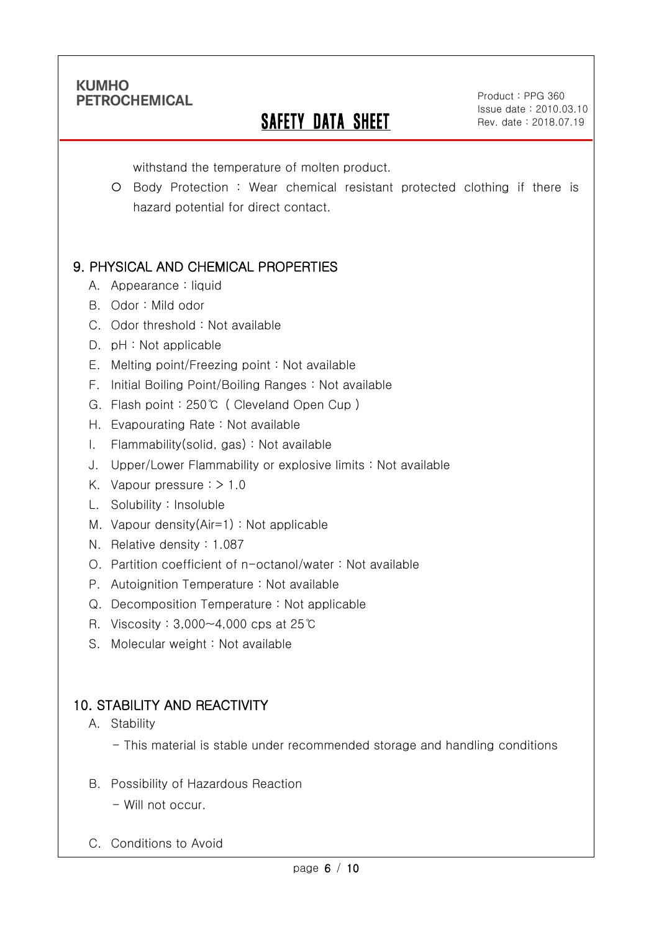Ī

# SAFETY DATA SHEET

Product : PPG 360 Issue date : 2010.03.10 Rev. date : 2018.07.19

.

withstand the temperature of molten product.

O Body Protection : Wear chemical resistant protected clothing if there is hazard potential for direct contact.

## 9. PHYSICAL AND CHEMICAL PROPERTIES

- A. Appearance : liquid
- B. Odor : Mild odor
- C. Odor threshold : Not available
- D. pH : Not applicable
- E. Melting point/Freezing point : Not available
- F. Initial Boiling Point/Boiling Ranges : Not available
- G. Flash point : 250℃ ( Cleveland Open Cup )
- H. Evapourating Rate : Not available
- I. Flammability(solid, gas) : Not available
- J. Upper/Lower Flammability or explosive limits : Not available
- K. Vapour pressure : > 1.0
- L. Solubility : Insoluble
- M. Vapour density(Air=1) : Not applicable
- N. Relative density : 1.087
- O. Partition coefficient of n-octanol/water : Not available
- P. Autoignition Temperature : Not available
- Q. Decomposition Temperature : Not applicable
- R. Viscosity : 3,000~4,000 cps at 25℃
- S. Molecular weight : Not available

## 10. STABILITY AND REACTIVITY

#### A. Stability

- This material is stable under recommended storage and handling conditions
- B. Possibility of Hazardous Reaction
	- Will not occur.
- C. Conditions to Avoid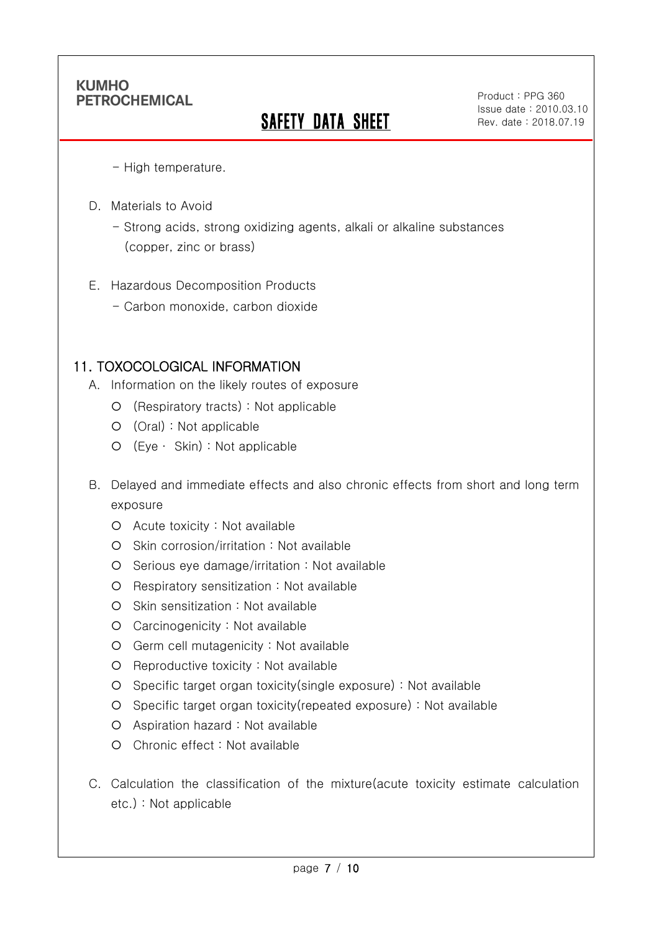Ī

# **SAFETY DATA SHEET**

Product : PPG 360 Issue date : 2010.03.10 Rev. date : 2018.07.19

.

- High temperature.

- D. Materials to Avoid
	- Strong acids, strong oxidizing agents, alkali or alkaline substances (copper, zinc or brass)
- E. Hazardous Decomposition Products
	- Carbon monoxide, carbon dioxide

### 11. TOXOCOLOGICAL INFORMATION

- A. Information on the likely routes of exposure
	- (Respiratory tracts) : Not applicable
	- (Oral) : Not applicable
	- (Eye ∙ Skin) : Not applicable
- B. Delayed and immediate effects and also chronic effects from short and long term exposure
	- Acute toxicity : Not available
	- O Skin corrosion/irritation : Not available
	- O Serious eye damage/irritation : Not available
	- Respiratory sensitization : Not available
	- O Skin sensitization : Not available
	- Carcinogenicity : Not available
	- Germ cell mutagenicity : Not available
	- O Reproductive toxicity : Not available
	- Specific target organ toxicity(single exposure) : Not available
	- Specific target organ toxicity(repeated exposure) : Not available
	- Aspiration hazard : Not available
	- Chronic effect : Not available
- C. Calculation the classification of the mixture(acute toxicity estimate calculation etc.) : Not applicable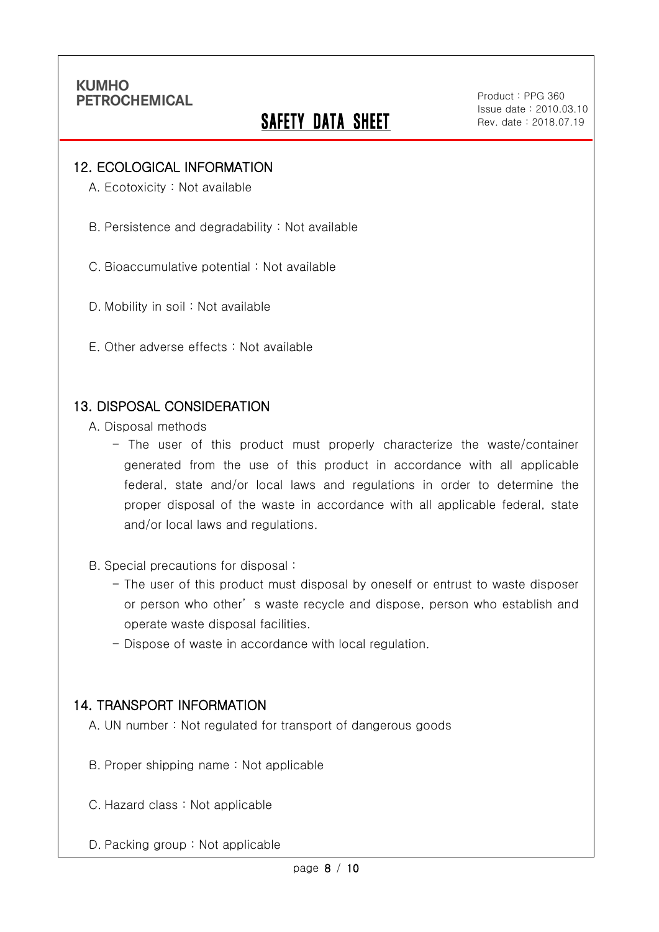Ī

# **SAFETY DATA SHEET**

Product : PPG 360 Issue date : 2010.03.10 Rev. date : 2018.07.19

.

#### 12. ECOLOGICAL INFORMATION

A. Ecotoxicity : Not available

B. Persistence and degradability : Not available

C. Bioaccumulative potential : Not available

D. Mobility in soil : Not available

E. Other adverse effects : Not available

#### 13. DISPOSAL CONSIDERATION

A. Disposal methods

- The user of this product must properly characterize the waste/container generated from the use of this product in accordance with all applicable federal, state and/or local laws and regulations in order to determine the proper disposal of the waste in accordance with all applicable federal, state and/or local laws and regulations.

B. Special precautions for disposal :

- The user of this product must disposal by oneself or entrust to waste disposer or person who other' s waste recycle and dispose, person who establish and operate waste disposal facilities.
- Dispose of waste in accordance with local regulation.

#### 14. TRANSPORT INFORMATION

A. UN number : Not regulated for transport of dangerous goods

- B. Proper shipping name : Not applicable
- C. Hazard class : Not applicable
- D. Packing group : Not applicable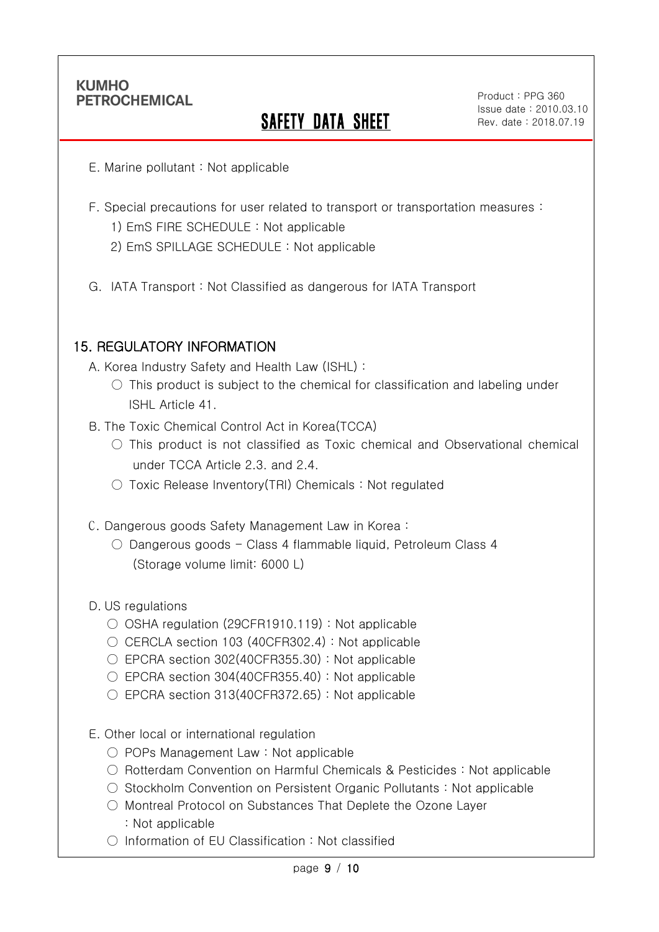Ī

# SAFETY DATA SHEET

Product : PPG 360 Issue date : 2010.03.10 Rev. date : 2018.07.19

.

- E. Marine pollutant : Not applicable
- F. Special precautions for user related to transport or transportation measures :
	- 1) EmS FIRE SCHEDULE : Not applicable
	- 2) EmS SPILLAGE SCHEDULE : Not applicable
- G. IATA Transport : Not Classified as dangerous for IATA Transport

## 15. REGULATORY INFORMATION

A. Korea Industry Safety and Health Law (ISHL) :

- $\circ$  This product is subject to the chemical for classification and labeling under ISHL Article 41.
- B. The Toxic Chemical Control Act in Korea(TCCA)
	- $\bigcirc$  This product is not classified as Toxic chemical and Observational chemical under TCCA Article 2.3. and 2.4.
	- Toxic Release Inventory(TRI) Chemicals : Not regulated
- C. Dangerous goods Safety Management Law in Korea :
	- Dangerous goods Class 4 flammable liquid, Petroleum Class 4 (Storage volume limit: 6000 L)

#### D. US regulations

- OSHA regulation (29CFR1910.119) : Not applicable
- CERCLA section 103 (40CFR302.4) : Not applicable
- EPCRA section 302(40CFR355.30): Not applicable
- $\circ$  EPCRA section 304(40CFR355.40) : Not applicable
- $\circ$  EPCRA section 313(40CFR372.65) : Not applicable
- E. Other local or international regulation
	- POPs Management Law : Not applicable
	- Rotterdam Convention on Harmful Chemicals & Pesticides : Not applicable
	- Stockholm Convention on Persistent Organic Pollutants : Not applicable
	- Montreal Protocol on Substances That Deplete the Ozone Layer : Not applicable
	- Information of EU Classification : Not classified